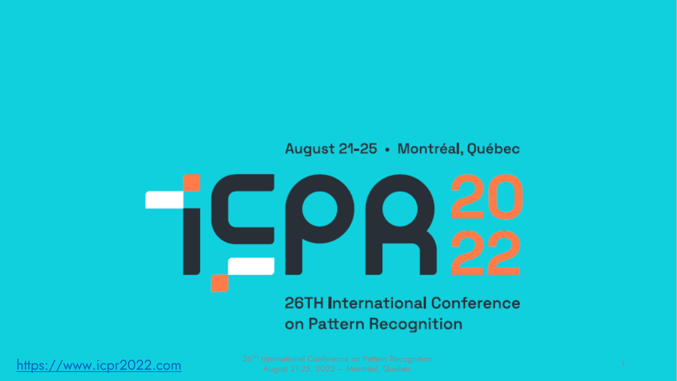#### August 21-25 · Montréal, Québec



### **26TH International Conference** on Pattern Recognition

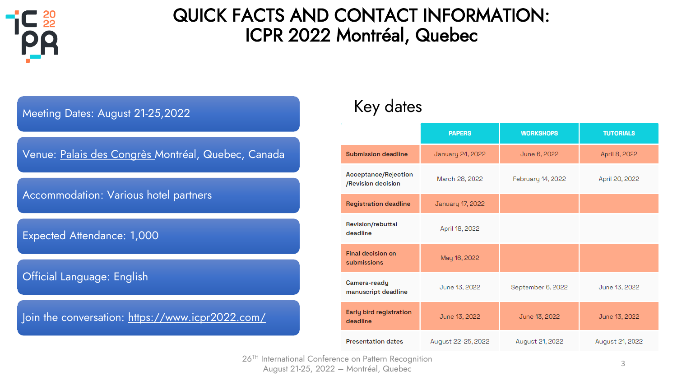

### QUICK FACTS AND CONTACT INFORMATION: ICPR 2022 Montréal, Quebec



## Key dates

|                                            | <b>PAPERS</b>      | <b>WORKSHOPS</b>  | <b>TUTORIALS</b> |
|--------------------------------------------|--------------------|-------------------|------------------|
| <b>Submission deadline</b>                 | January 24, 2022   | June 6, 2022      | April 8, 2022    |
| Acceptance/Rejection<br>/Revision decision | March 28, 2022     | February 14, 2022 | April 20, 2022   |
| <b>Registration deadline</b>               | January 17, 2022   |                   |                  |
| Revision/rebuttal<br>deadline              | April 18, 2022     |                   |                  |
| <b>Final decision on</b><br>submissions    | May 16, 2022       |                   |                  |
| Camera-ready<br>manuscript deadline        | June 13, 2022      | September 6, 2022 | June 13, 2022    |
| <b>Early bird registration</b><br>deadline | June 13, 2022      | June 13, 2022     | June 13, 2022    |
| <b>Presentation dates</b>                  | August 22-25, 2022 | August 21, 2022   | August 21, 2022  |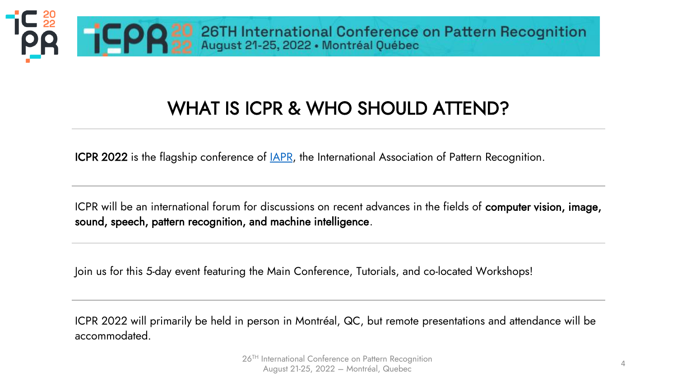

## WHAT IS ICPR & WHO SHOULD ATTEND?

ICPR 2022 is the flagship conference of **[IAPR](https://iapr.org/)**, the International Association of Pattern Recognition.

ICPR will be an international forum for discussions on recent advances in the fields of computer vision, image, sound, speech, pattern recognition, and machine intelligence.

Join us for this 5-day event featuring the Main Conference, Tutorials, and co-located Workshops!

ICPR 2022 will primarily be held in person in Montréal, QC, but remote presentations and attendance will be accommodated.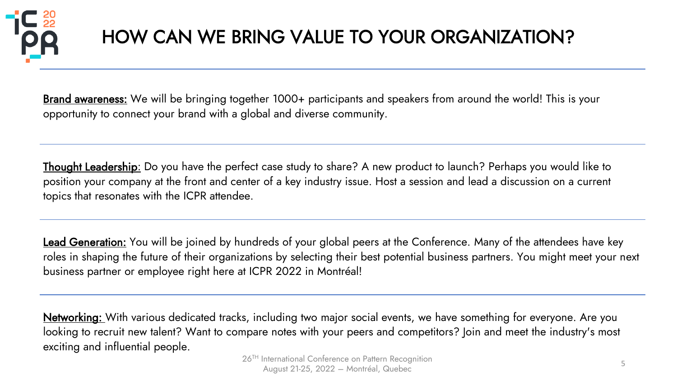

# HOW CAN WE BRING VALUE TO YOUR ORGANIZATION?

Brand awareness: We will be bringing together 1000+ participants and speakers from around the world! This is your opportunity to connect your brand with a global and diverse community.

Thought Leadership: Do you have the perfect case study to share? A new product to launch? Perhaps you would like to position your company at the front and center of a key industry issue. Host a session and lead a discussion on a current topics that resonates with the ICPR attendee.

Lead Generation: You will be joined by hundreds of your global peers at the Conference. Many of the attendees have key roles in shaping the future of their organizations by selecting their best potential business partners. You might meet your next business partner or employee right here at ICPR 2022 in Montréal!

Networking: With various dedicated tracks, including two major social events, we have something for everyone. Are you looking to recruit new talent? Want to compare notes with your peers and competitors? Join and meet the industry's most exciting and influential people.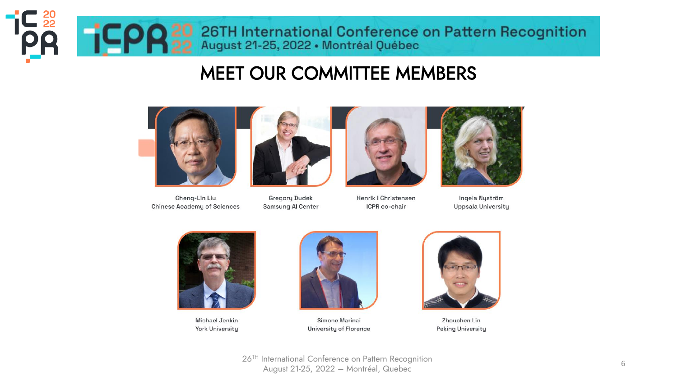

### MEET OUR COMMITTEE MEMBERS



Cheng-Lin Liu **Chinese Academy of Sciences** 



**Gregory Dudek** Samsung Al Center



Henrik I Christensen ICPR co-chair



Ingela Nyström Uppsala University



Michael Jenkin York University



Simone Marinai University of Florence



Zhouchen Lin **Peking University** 

26TH International Conference on Pattern Recognition August 21-25, 2022 – Montréal, Quebec <sup>6</sup>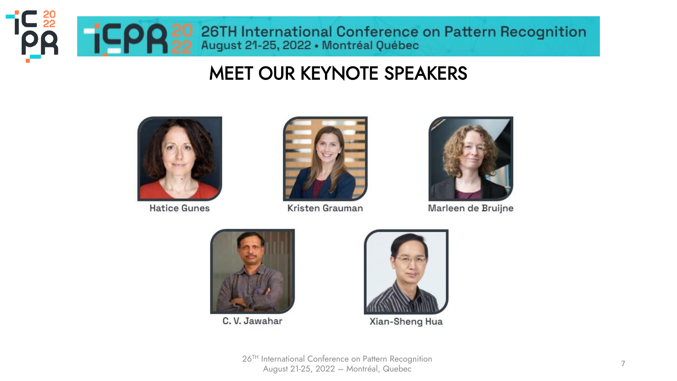

### MEET OUR KEYNOTE SPEAKERS



**Hatice Gunes** 



Kristen Grauman



Marleen de Bruijne



C.V. Jawahar



Xian-Sheng Hua

26TH International Conference on Pattern Recognition August 21-25, 2022 – Montréal, Quebec <sup>7</sup>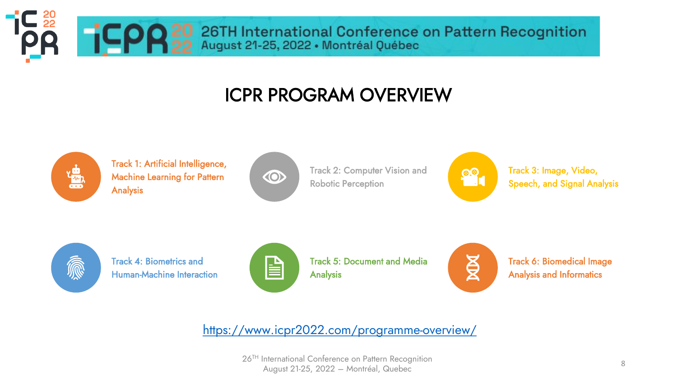TCPR 20 26TH International Conference on Pattern Recognition

# ICPR PROGRAM OVERVIEW



**IC**<sub>22</sub>

Track 1: Artificial Intelligence, Machine Learning for Pattern Analysis



Track 2: Computer Vision and Robotic Perception



Track 3: Image, Video, Speech, and Signal Analysis



Track 4: Biometrics and Human-Machine Interaction



Track 5: Document and Media Analysis



Track 6: Biomedical Image Analysis and Informatics

<https://www.icpr2022.com/programme-overview/>

26TH International Conference on Pattern Recognition August 21-25, 2022 – Montréal, Quebec <sup>8</sup>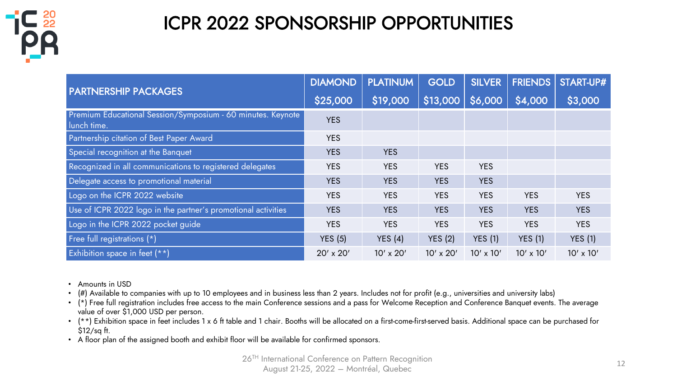

# ICPR 2022 SPONSORSHIP OPPORTUNITIES

|                                                                            | <b>DIAMOND</b> | <b>PLATINUM</b> | <b>GOLD</b>      | <b>SILVER</b>    | <b>FRIENDS</b>   | <b>START-UP#</b> |
|----------------------------------------------------------------------------|----------------|-----------------|------------------|------------------|------------------|------------------|
| <b>PARTNERSHIP PACKAGES</b>                                                | \$25,000       | \$19,000        | \$13,000         | \$6,000          | \$4,000          | \$3,000          |
| Premium Educational Session/Symposium - 60 minutes. Keynote<br>lunch time. | <b>YES</b>     |                 |                  |                  |                  |                  |
| Partnership citation of Best Paper Award                                   | <b>YES</b>     |                 |                  |                  |                  |                  |
| Special recognition at the Banquet                                         | <b>YES</b>     | <b>YES</b>      |                  |                  |                  |                  |
| Recognized in all communications to registered delegates                   | <b>YES</b>     | <b>YES</b>      | <b>YES</b>       | <b>YES</b>       |                  |                  |
| Delegate access to promotional material                                    | <b>YES</b>     | <b>YES</b>      | <b>YES</b>       | <b>YES</b>       |                  |                  |
| Logo on the ICPR 2022 website                                              | <b>YES</b>     | <b>YES</b>      | <b>YES</b>       | <b>YES</b>       | <b>YES</b>       | <b>YES</b>       |
| Use of ICPR 2022 logo in the partner's promotional activities              | <b>YES</b>     | <b>YES</b>      | <b>YES</b>       | <b>YES</b>       | <b>YES</b>       | <b>YES</b>       |
| Logo in the ICPR 2022 pocket guide                                         | <b>YES</b>     | <b>YES</b>      | <b>YES</b>       | <b>YES</b>       | <b>YES</b>       | <b>YES</b>       |
| Free full registrations (*)                                                | YES(5)         | YES $(4)$       | YES(2)           | YES(1)           | <b>YES</b> (1)   | YES(1)           |
| Exhibition space in feet (**)                                              | 20' x 20'      | 10' x 20'       | $10' \times 20'$ | $10' \times 10'$ | $10' \times 10'$ | $10' \times 10'$ |

- Amounts in USD
- (#) Available to companies with up to 10 employees and in business less than 2 years. Includes not for profit (e.g., universities and university labs)
- (\*) Free full registration includes free access to the main Conference sessions and a pass for Welcome Reception and Conference Banquet events. The average value of over \$1,000 USD per person.
- (\*\*) Exhibition space in feet includes 1 x 6 ft table and 1 chair. Booths will be allocated on a first-come-first-served basis. Additional space can be purchased for \$12/sq ft.
- A floor plan of the assigned booth and exhibit floor will be available for confirmed sponsors.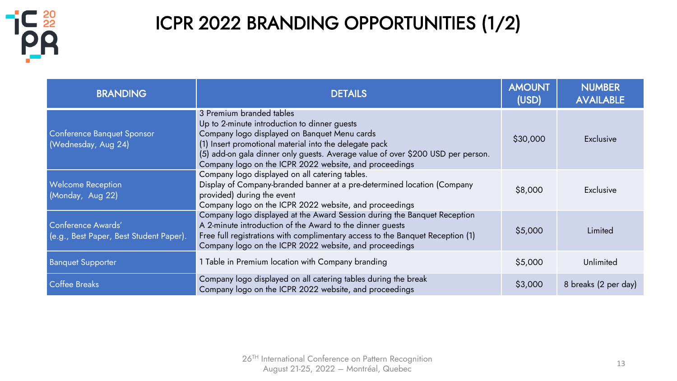

# ICPR 2022 BRANDING OPPORTUNITIES (1/2)

| <b>BRANDING</b>                                               | <b>DETAILS</b>                                                                                                                                                                                                                                                                                                                  | <b>AMOUNT</b><br>(USD) | <b>NUMBER</b><br><b>AVAILABLE</b> |
|---------------------------------------------------------------|---------------------------------------------------------------------------------------------------------------------------------------------------------------------------------------------------------------------------------------------------------------------------------------------------------------------------------|------------------------|-----------------------------------|
| Conference Banquet Sponsor<br>(Wednesday, Aug 24)             | 3 Premium branded tables<br>Up to 2-minute introduction to dinner guests<br>Company logo displayed on Banquet Menu cards<br>(1) Insert promotional material into the delegate pack<br>(5) add-on gala dinner only guests. Average value of over \$200 USD per person.<br>Company logo on the ICPR 2022 website, and proceedings | \$30,000               | Exclusive                         |
| <b>Welcome Reception</b><br>(Monday, Aug 22)                  | Company logo displayed on all catering tables.<br>Display of Company-branded banner at a pre-determined location (Company<br>provided) during the event<br>Company logo on the ICPR 2022 website, and proceedings                                                                                                               | \$8,000                | Exclusive                         |
| Conference Awards'<br>(e.g., Best Paper, Best Student Paper). | Company logo displayed at the Award Session during the Banquet Reception<br>A 2-minute introduction of the Award to the dinner guests<br>Free full registrations with complimentary access to the Banquet Reception (1)<br>Company logo on the ICPR 2022 website, and proceedings                                               |                        | Limited                           |
| <b>Banquet Supporter</b>                                      | 1 Table in Premium location with Company branding                                                                                                                                                                                                                                                                               | \$5,000                | Unlimited                         |
| <b>Coffee Breaks</b>                                          | Company logo displayed on all catering tables during the break<br>Company logo on the ICPR 2022 website, and proceedings                                                                                                                                                                                                        | \$3,000                | 8 breaks (2 per day)              |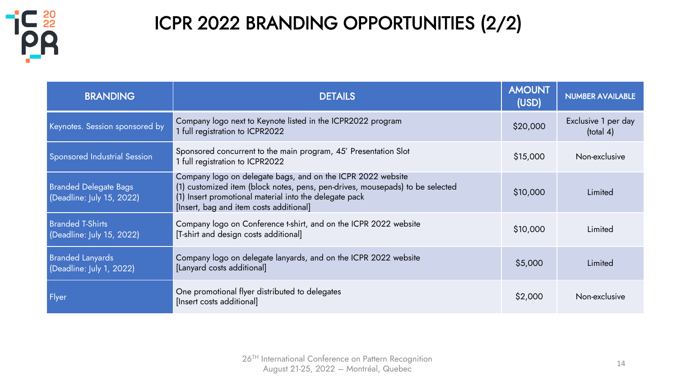

# ICPR 2022 BRANDING OPPORTUNITIES (2/2)

| <b>BRANDING</b>                                           | <b>DETAILS</b>                                                                                                                                                                                                                                    | <b>AMOUNT</b><br>(USD) | <b>NUMBER AVAILABLE</b>                |
|-----------------------------------------------------------|---------------------------------------------------------------------------------------------------------------------------------------------------------------------------------------------------------------------------------------------------|------------------------|----------------------------------------|
| Keynotes. Session sponsored by                            | Company logo next to Keynote listed in the ICPR2022 program<br>1 full registration to ICPR2022                                                                                                                                                    | \$20,000               | Exclusive 1 per day<br>$($ total 4 $)$ |
| <b>Sponsored Industrial Session</b>                       | Sponsored concurrent to the main program, 45' Presentation Slot<br>1 full registration to ICPR2022                                                                                                                                                | \$15,000               | Non-exclusive                          |
| <b>Branded Delegate Bags</b><br>(Deadline: July 15, 2022) | Company logo on delegate bags, and on the ICPR 2022 website<br>(1) customized item (block notes, pens, pen-drives, mousepads) to be selected<br>(1) Insert promotional material into the delegate pack<br>[Insert, bag and item costs additional] | \$10,000               | Limited                                |
| <b>Branded T-Shirts</b><br>(Deadline: July 15, 2022)      | Company logo on Conference t-shirt, and on the ICPR 2022 website<br>[T-shirt and design costs additional]                                                                                                                                         | \$10,000               | Limited                                |
| <b>Branded Lanyards</b><br>(Deadline: July 1, 2022)       | Company logo on delegate lanyards, and on the ICPR 2022 website<br>[Lanyard costs additional]                                                                                                                                                     | \$5,000                | Limited                                |
| Flyer                                                     | One promotional flyer distributed to delegates<br>[Insert costs additional]                                                                                                                                                                       | \$2,000                | Non-exclusive                          |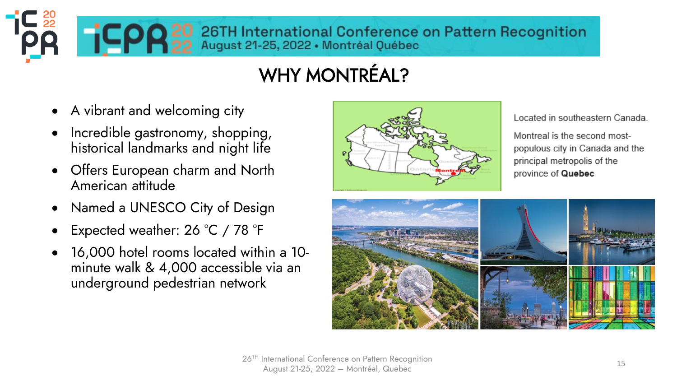**COR** 20 26TH International Conference on Pattern Recognition<br>Montréal Québec

# WHY MONTRÉAL?

- A vibrant and welcoming city
- Incredible gastronomy, shopping, historical landmarks and night life
- Offers European charm and North American attitude
- Named a UNESCO City of Design
- Expected weather: 26 °C / 78 °F
- 16,000 hotel rooms located within a 10 minute walk & 4,000 accessible via an underground pedestrian network



Located in southeastern Canada.

Montreal is the second mostpopulous city in Canada and the principal metropolis of the province of Quebec

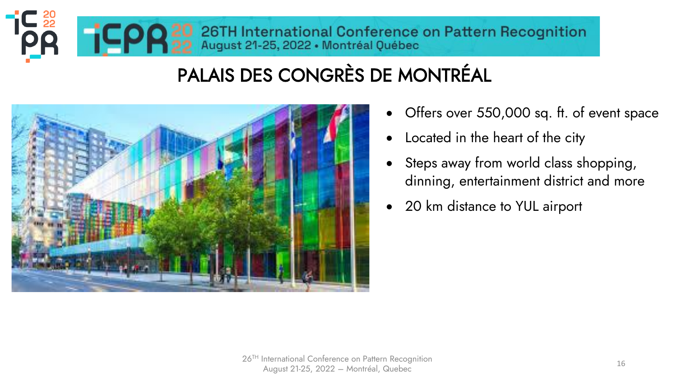# TC<sub>22</sub><br>OC TCPR 22 August 21-25, 2022 • Montréal Québec

# PALAIS DES CONGRÈS DE MONTRÉAL



- Offers over 550,000 sq. ft. of event space
- Located in the heart of the city
- Steps away from world class shopping, dinning, entertainment district and more
- 20 km distance to YUL airport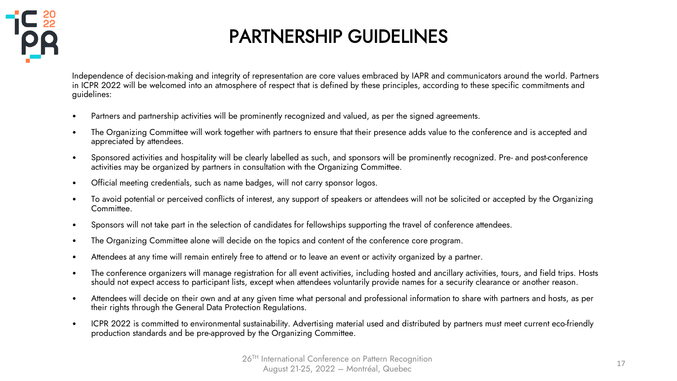

# PARTNERSHIP GUIDELINES

Independence of decision-making and integrity of representation are core values embraced by IAPR and communicators around the world. Partners in ICPR 2022 will be welcomed into an atmosphere of respect that is defined by these principles, according to these specific commitments and guidelines:

- Partners and partnership activities will be prominently recognized and valued, as per the signed agreements.
- The Organizing Committee will work together with partners to ensure that their presence adds value to the conference and is accepted and appreciated by attendees.
- Sponsored activities and hospitality will be clearly labelled as such, and sponsors will be prominently recognized. Pre- and post-conference activities may be organized by partners in consultation with the Organizing Committee.
- Official meeting credentials, such as name badges, will not carry sponsor logos.
- To avoid potential or perceived conflicts of interest, any support of speakers or attendees will not be solicited or accepted by the Organizing Committee.
- Sponsors will not take part in the selection of candidates for fellowships supporting the travel of conference attendees.
- The Organizing Committee alone will decide on the topics and content of the conference core program.
- Attendees at any time will remain entirely free to attend or to leave an event or activity organized by a partner.
- The conference organizers will manage registration for all event activities, including hosted and ancillary activities, tours, and field trips. Hosts should not expect access to participant lists, except when attendees voluntarily provide names for a security clearance or another reason.
- Attendees will decide on their own and at any given time what personal and professional information to share with partners and hosts, as per their rights through the General Data Protection Regulations.
- ICPR 2022 is committed to environmental sustainability. Advertising material used and distributed by partners must meet current eco-friendly production standards and be pre-approved by the Organizing Committee.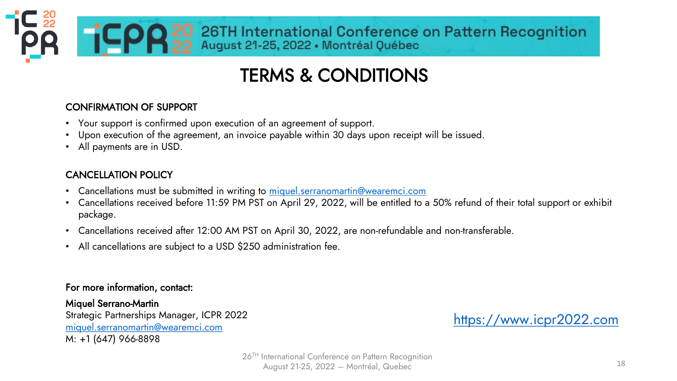# TERMS & CONDITIONS

TCPR 20 26TH International Conference on Pattern Recognition

#### CONFIRMATION OF SUPPORT

- Your support is confirmed upon execution of an agreement of support.
- Upon execution of the agreement, an invoice payable within 30 days upon receipt will be issued.
- All payments are in USD.

#### CANCELLATION POLICY

- Cancellations must be submitted in writing to [miquel.serranomartin@wearemci.com](mailto:miquel.serranomartin@wearemci.com)
- Cancellations received before 11:59 PM PST on April 29, 2022, will be entitled to a 50% refund of their total support or exhibit package.
- Cancellations received after 12:00 AM PST on April 30, 2022, are non-refundable and non-transferable.
- All cancellations are subject to a USD \$250 administration fee.

#### For more information, contact:

Miquel Serrano-Martin Strategic Partnerships Manager, ICPR 2022 [miquel.serranomartin@wearemci.com](mailto:miquel.serranomartin@wearemci.com) M: +1 (647) 966-8898

[https://www.icpr2022.com](https://www.icpr2022.com/)